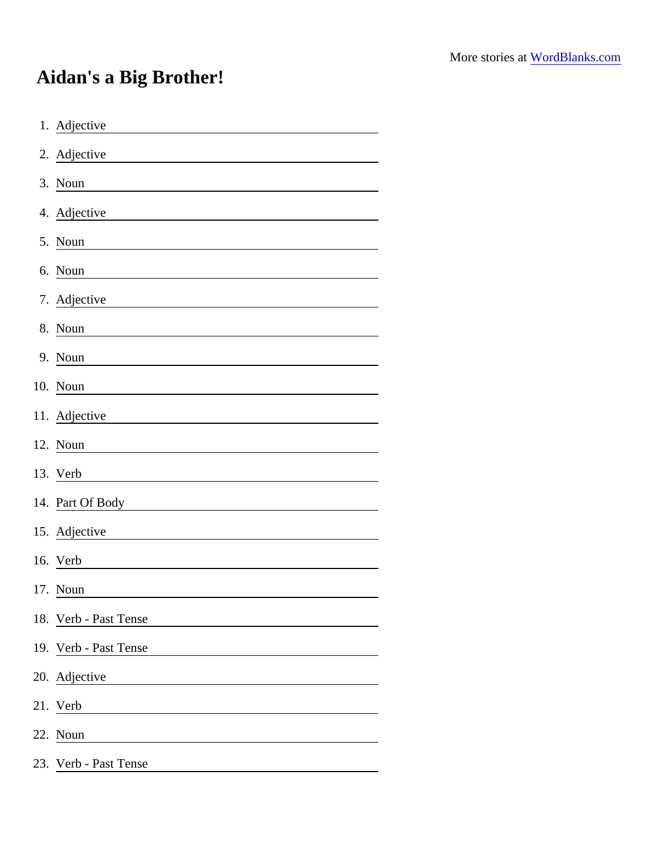## Aidan's a Big Brother!

| 1. Adjective                                                                                                                           |
|----------------------------------------------------------------------------------------------------------------------------------------|
| 2. Adjective<br><u> 1989 - Johann Stoff, deutscher Stoffen und der Stoffen und der Stoffen und der Stoffen und der Stoffen und der</u> |
| 3. Noun<br><u> 1989 - Johann Barn, mars eta bat erroman erroman erroman erroman erroman erroman erroman erroman erroman err</u>        |
| 4. Adjective<br><u> 1989 - Johann Stoff, fransk politik (d. 1989)</u>                                                                  |
| 5. Noun                                                                                                                                |
| 6. Noun                                                                                                                                |
| 7. Adjective                                                                                                                           |
| 8. Noun                                                                                                                                |
| 9. Noun                                                                                                                                |
| 10. Noun                                                                                                                               |
| 11. Adjective                                                                                                                          |
| 12. Noun                                                                                                                               |
| 13. Verb                                                                                                                               |
| 14. Part Of Body                                                                                                                       |
| 15. Adjective                                                                                                                          |
| 16. Verb                                                                                                                               |
| 17. Noun                                                                                                                               |
| 18. Verb - Past Tense                                                                                                                  |
| 19. Verb - Past Tense                                                                                                                  |
| 20. Adjective                                                                                                                          |
| 21. Verb                                                                                                                               |
| 22. Noun                                                                                                                               |
| 23. Verb - Past Tense                                                                                                                  |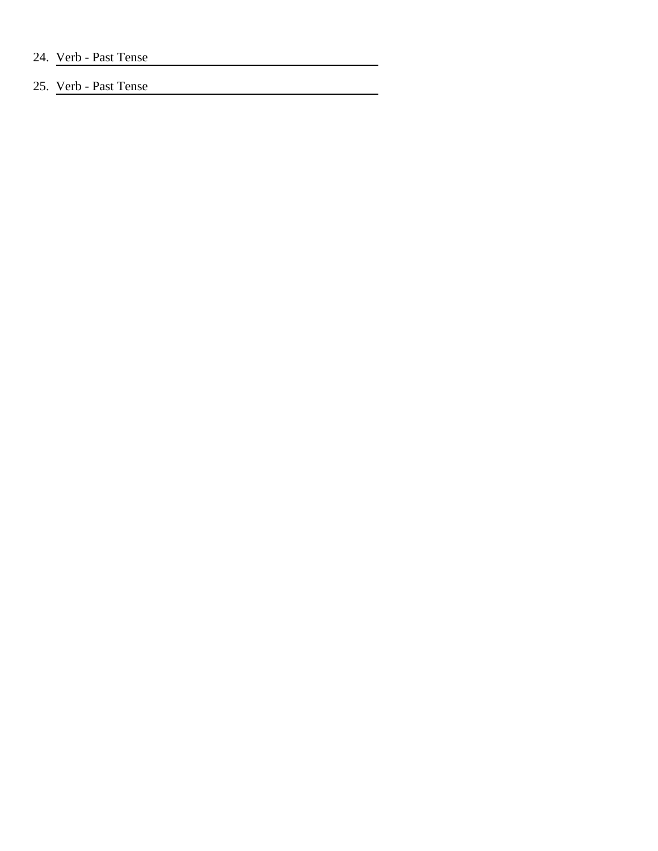## 25. Verb - Past Tense